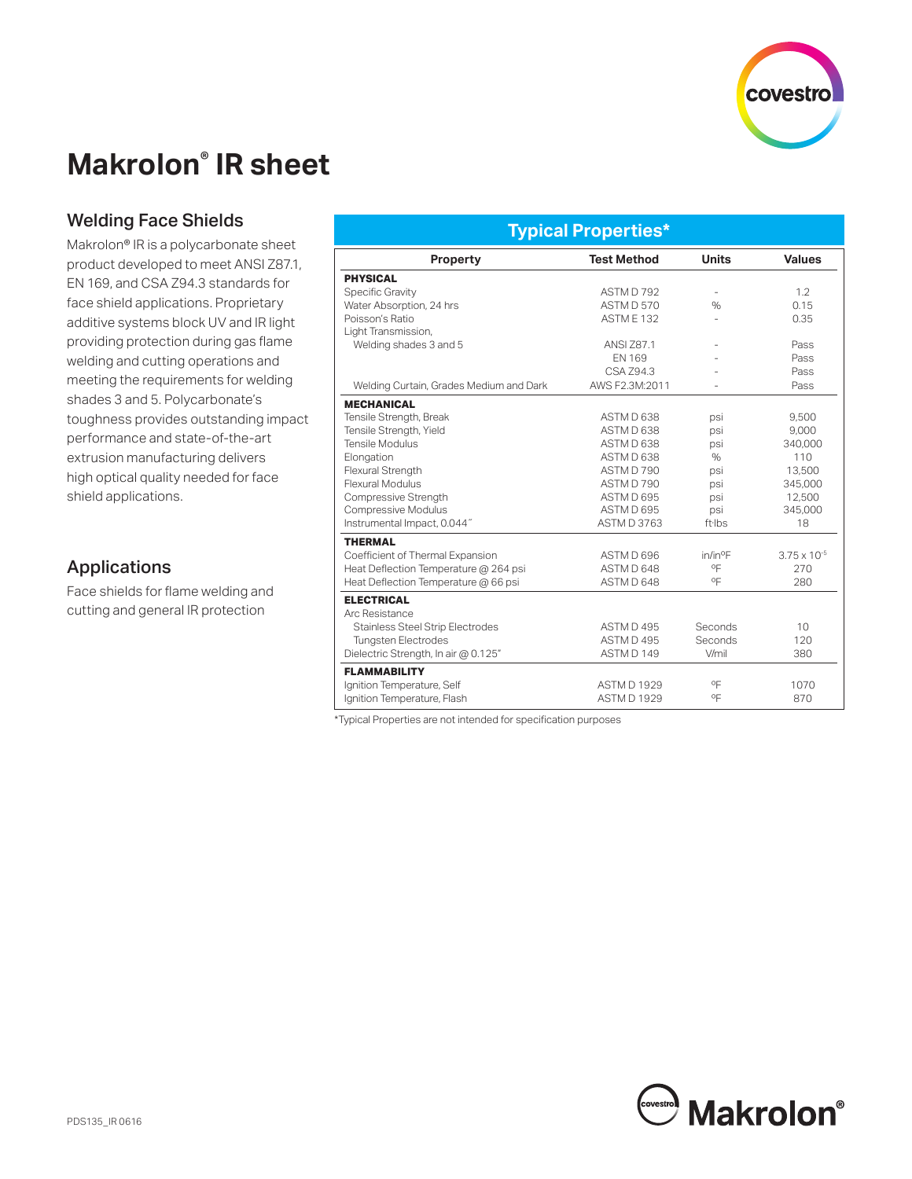

# **Makrolon® IR sheet**

### Welding Face Shields

Makrolon® IR is a polycarbonate sheet product developed to meet ANSI Z87.1, EN 169, and CSA Z94.3 standards for face shield applications. Proprietary additive systems block UV and IR light providing protection during gas flame welding and cutting operations and meeting the requirements for welding shades 3 and 5. Polycarbonate's toughness provides outstanding impact performance and state-of-the-art extrusion manufacturing delivers high optical quality needed for face shield applications.

#### Applications

Face shields for flame welding and cutting and general IR protection

#### **Typical Properties\***

| <b>Property</b>                         | <b>Test Method</b> | <b>Units</b>             | <b>Values</b>         |
|-----------------------------------------|--------------------|--------------------------|-----------------------|
| <b>PHYSICAL</b>                         |                    |                          |                       |
| Specific Gravity                        | ASTM D 792         |                          | 1.2                   |
| Water Absorption, 24 hrs                | ASTM D 570         | $\frac{0}{0}$            | 0.15                  |
| Poisson's Ratio                         | <b>ASTM E 132</b>  |                          | 0.35                  |
| Light Transmission,                     |                    |                          |                       |
| Welding shades 3 and 5                  | <b>ANSI Z87.1</b>  |                          | Pass                  |
|                                         | EN 169             |                          | Pass                  |
|                                         | CSA Z94.3          |                          | Pass                  |
| Welding Curtain, Grades Medium and Dark | AWS F2.3M:2011     | $\overline{\phantom{a}}$ | Pass                  |
| <b>MECHANICAL</b>                       |                    |                          |                       |
| Tensile Strength, Break                 | ASTM D 638         | psi                      | 9.500                 |
| Tensile Strength, Yield                 | ASTM D 638         | psi                      | 9,000                 |
| Tensile Modulus                         | ASTM D 638         | psi                      | 340.000               |
| Elongation                              | ASTM D 638         | $\%$                     | 110                   |
| Flexural Strength                       | ASTM D 790         | psi                      | 13,500                |
| <b>Flexural Modulus</b>                 | ASTM D 790         | psi                      | 345,000               |
| Compressive Strength                    | ASTM D 695         | psi                      | 12,500                |
| Compressive Modulus                     | ASTM D 695         | psi                      | 345,000               |
| Instrumental Impact, 0.044"             | ASTM D 3763        | $ft$ ·lbs                | 18                    |
| <b>THERMAL</b>                          |                    |                          |                       |
| Coefficient of Thermal Expansion        | ASTM D 696         | in/in <sup>o</sup> F     | $3.75 \times 10^{-5}$ |
| Heat Deflection Temperature @ 264 psi   | ASTM D 648         | ٥F                       | 270                   |
| Heat Deflection Temperature @ 66 psi    | ASTM D 648         | οF                       | 280                   |
| <b>ELECTRICAL</b>                       |                    |                          |                       |
| Arc Resistance                          |                    |                          |                       |
| <b>Stainless Steel Strip Electrodes</b> | ASTM D 495         | Seconds                  | 10 <sup>1</sup>       |
| <b>Tungsten Electrodes</b>              | ASTM D 495         | Seconds                  | 120                   |
| Dielectric Strength, In air @ 0.125"    | ASTM D 149         | V/mil                    | 380                   |
| <b>FLAMMABILITY</b>                     |                    |                          |                       |
| Ignition Temperature, Self              | <b>ASTM D 1929</b> | ٥F                       | 1070                  |
| Ignition Temperature, Flash             | <b>ASTM D 1929</b> | ٥F                       | 870                   |

\*Typical Properties are not intended for specification purposes